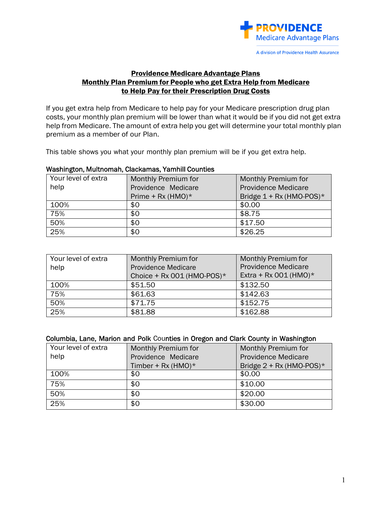

## Providence Medicare Advantage Plans Monthly Plan Premium for People who get Extra Help from Medicare to Help Pay for their Prescription Drug Costs

If you get extra help from Medicare to help pay for your Medicare prescription drug plan costs, your monthly plan premium will be lower than what it would be if you did not get extra help from Medicare. The amount of extra help you get will determine your total monthly plan premium as a member of our Plan.

This table shows you what your monthly plan premium will be if you get extra help.

#### Washington, Multnomah, Clackamas, Yamhill Counties

| Your level of extra | Monthly Premium for  | Monthly Premium for        |
|---------------------|----------------------|----------------------------|
| help                | Providence Medicare  | <b>Providence Medicare</b> |
|                     | Prime + Rx (HMO) $*$ | Bridge $1 + Rx$ (HMO-POS)* |
| 100%                | \$0                  | \$0.00                     |
| 75%                 | \$0                  | \$8.75                     |
| 50%                 | \$0                  | \$17.50                    |
| 25%                 | \$0                  | \$26.25                    |

| Your level of extra | <b>Monthly Premium for</b>    | <b>Monthly Premium for</b> |
|---------------------|-------------------------------|----------------------------|
| help                | <b>Providence Medicare</b>    | <b>Providence Medicare</b> |
|                     | Choice + Rx 001 (HMO-POS) $*$ | Extra + Rx 001 (HMO) $*$   |
| 100%                | \$51.50                       | \$132.50                   |
| 75%                 | \$61.63                       | \$142.63                   |
| 50%                 | \$71.75                       | \$152.75                   |
| 25%                 | \$81.88                       | \$162.88                   |

#### Columbia, Lane, Marion and Polk Counties in Oregon and Clark County in Washington

| Your level of extra | Monthly Premium for   | Monthly Premium for        |
|---------------------|-----------------------|----------------------------|
| help                | Providence Medicare   | <b>Providence Medicare</b> |
|                     | Timber + Rx (HMO) $*$ | Bridge $2 + Rx$ (HMO-POS)* |
| 100%                | \$0                   | \$0.00                     |
| 75%                 | \$0                   | \$10.00                    |
| 50%                 | \$0                   | \$20.00                    |
| 25%                 | \$0                   | \$30.00                    |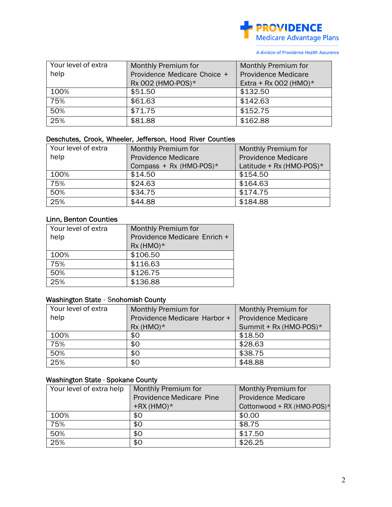

A division of Providence Health Assurance

| Your level of extra | Monthly Premium for          | Monthly Premium for        |
|---------------------|------------------------------|----------------------------|
| help                | Providence Medicare Choice + | <b>Providence Medicare</b> |
|                     | Rx 002 (HMO-POS)*            | Extra + Rx 002 (HMO) $*$   |
| 100%                | \$51.50                      | \$132.50                   |
| 75%                 | \$61.63                      | \$142.63                   |
| 50%                 | \$71.75                      | \$152.75                   |
| 25%                 | \$81.88                      | \$162.88                   |

# Deschutes, Crook, Wheeler, Jefferson, Hood River Counties

| Your level of extra | Monthly Premium for        | Monthly Premium for         |
|---------------------|----------------------------|-----------------------------|
| help                | <b>Providence Medicare</b> | <b>Providence Medicare</b>  |
|                     | Compass + Rx (HMO-POS) $*$ | Latitude + Rx (HMO-POS) $*$ |
| 100%                | \$14.50                    | \$154.50                    |
| 75%                 | \$24.63                    | \$164.63                    |
| 50%                 | \$34.75                    | \$174.75                    |
| 25%                 | \$44.88                    | \$184.88                    |

# Linn, Benton Counties

| Your level of extra | Monthly Premium for          |
|---------------------|------------------------------|
| help                | Providence Medicare Enrich + |
|                     | $Rx$ (HMO) $*$               |
| 100%                | \$106.50                     |
| 75%                 | \$116.63                     |
| 50%                 | \$126.75                     |
| 25%                 | \$136.88                     |

## Washington State - Snohomish County

| Your level of extra | Monthly Premium for          | Monthly Premium for        |
|---------------------|------------------------------|----------------------------|
| help                | Providence Medicare Harbor + | <b>Providence Medicare</b> |
|                     | $Rx$ (HMO) $*$               | Summit + Rx (HMO-POS)*     |
| 100%                | \$0                          | \$18.50                    |
| 75%                 | \$0                          | \$28.63                    |
| 50%                 | \$0                          | \$38.75                    |
| 25%                 | \$0                          | \$48.88                    |

# Washington State - Spokane County

| Your level of extra help | Monthly Premium for             | Monthly Premium for        |
|--------------------------|---------------------------------|----------------------------|
|                          | <b>Providence Medicare Pine</b> | <b>Providence Medicare</b> |
|                          | $+RX$ (HMO) $*$                 | Cottonwood + RX (HMO-POS)* |
| 100%                     | \$0                             | \$0.00                     |
| 75%                      | \$0                             | \$8.75                     |
| 50%                      | \$0                             | \$17.50                    |
| 25%                      | \$0                             | \$26.25                    |